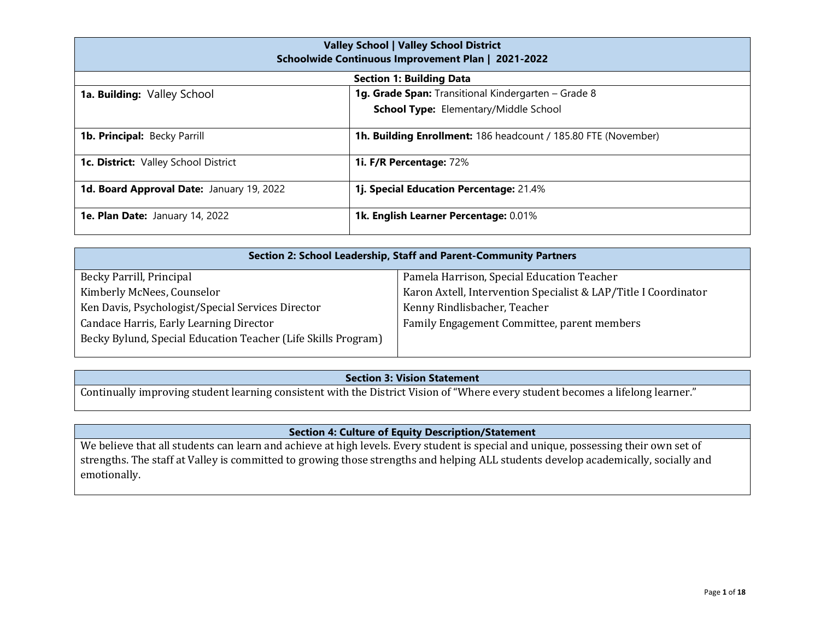| <b>Valley School   Valley School District</b><br>Schoolwide Continuous Improvement Plan   2021-2022 |                                                                |  |  |
|-----------------------------------------------------------------------------------------------------|----------------------------------------------------------------|--|--|
|                                                                                                     | <b>Section 1: Building Data</b>                                |  |  |
| 1a. Building: Valley School                                                                         | 1g. Grade Span: Transitional Kindergarten - Grade 8            |  |  |
|                                                                                                     | <b>School Type:</b> Elementary/Middle School                   |  |  |
| <b>1b. Principal: Becky Parrill</b>                                                                 | 1h. Building Enrollment: 186 headcount / 185.80 FTE (November) |  |  |
| 1c. District: Valley School District                                                                | 1i. F/R Percentage: 72%                                        |  |  |
| 1d. Board Approval Date: January 19, 2022                                                           | 1j. Special Education Percentage: 21.4%                        |  |  |
| 1e. Plan Date: January 14, 2022                                                                     | 1k. English Learner Percentage: 0.01%                          |  |  |

| Section 2: School Leadership, Staff and Parent-Community Partners |                                                                 |  |  |
|-------------------------------------------------------------------|-----------------------------------------------------------------|--|--|
| Becky Parrill, Principal                                          | Pamela Harrison, Special Education Teacher                      |  |  |
| Kimberly McNees, Counselor                                        | Karon Axtell, Intervention Specialist & LAP/Title I Coordinator |  |  |
| Ken Davis, Psychologist/Special Services Director                 | Kenny Rindlisbacher, Teacher                                    |  |  |
| Candace Harris, Early Learning Director                           | Family Engagement Committee, parent members                     |  |  |
| Becky Bylund, Special Education Teacher (Life Skills Program)     |                                                                 |  |  |
|                                                                   |                                                                 |  |  |

## **Section 3: Vision Statement**

Continually improving student learning consistent with the District Vision of "Where every student becomes a lifelong learner."

## **Section 4: Culture of Equity Description/Statement**

We believe that all students can learn and achieve at high levels. Every student is special and unique, possessing their own set of strengths. The staff at Valley is committed to growing those strengths and helping ALL students develop academically, socially and emotionally.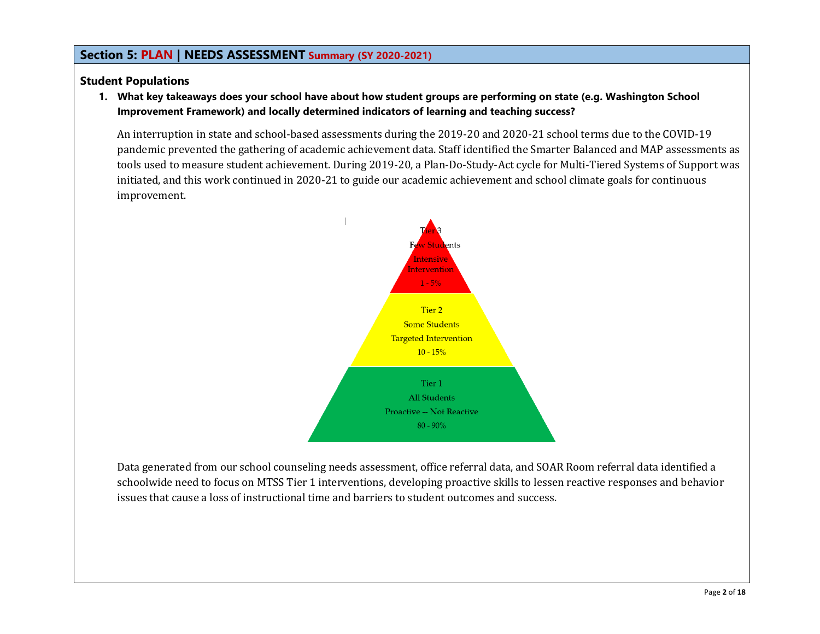## **Section 5: PLAN | NEEDS ASSESSMENT Summary (SY 2020-2021)**

## **Student Populations**

**1. What key takeaways does your school have about how student groups are performing on state (e.g. Washington School Improvement Framework) and locally determined indicators of learning and teaching success?**

An interruption in state and school-based assessments during the 2019-20 and 2020-21 school terms due to the COVID-19 pandemic prevented the gathering of academic achievement data. Staff identified the Smarter Balanced and MAP assessments as tools used to measure student achievement. During 2019-20, a Plan-Do-Study-Act cycle for Multi-Tiered Systems of Support was initiated, and this work continued in 2020-21 to guide our academic achievement and school climate goals for continuous improvement.



Data generated from our school counseling needs assessment, office referral data, and SOAR Room referral data identified a schoolwide need to focus on MTSS Tier 1 interventions, developing proactive skills to lessen reactive responses and behavior issues that cause a loss of instructional time and barriers to student outcomes and success.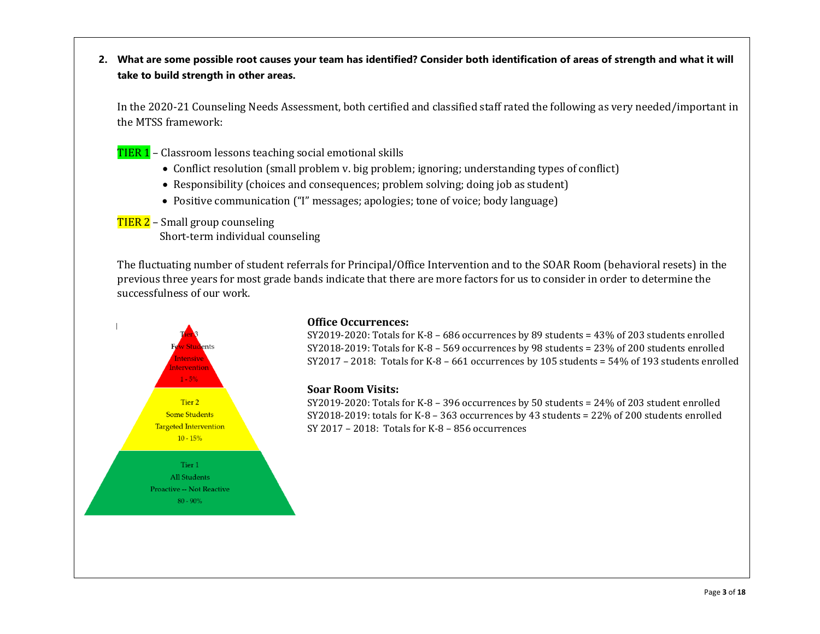**2. What are some possible root causes your team has identified? Consider both identification of areas of strength and what it will take to build strength in other areas.**

In the 2020-21 Counseling Needs Assessment, both certified and classified staff rated the following as very needed/important in the MTSS framework:

- TIER 1 Classroom lessons teaching social emotional skills
	- Conflict resolution (small problem v. big problem; ignoring; understanding types of conflict)
	- Responsibility (choices and consequences; problem solving; doing job as student)
	- Positive communication ("I" messages; apologies; tone of voice; body language)

TIER 2 - Small group counseling Short-term individual counseling

The fluctuating number of student referrals for Principal/Office Intervention and to the SOAR Room (behavioral resets) in the previous three years for most grade bands indicate that there are more factors for us to consider in order to determine the successfulness of our work.



### **Office Occurrences:**

SY2019-2020: Totals for K-8 – 686 occurrences by 89 students = 43% of 203 students enrolled SY2018-2019: Totals for K-8 – 569 occurrences by 98 students = 23% of 200 students enrolled SY2017 – 2018: Totals for K-8 – 661 occurrences by 105 students = 54% of 193 students enrolled

### **Soar Room Visits:**

SY2019-2020: Totals for K-8 – 396 occurrences by 50 students = 24% of 203 student enrolled SY2018-2019: totals for K-8 – 363 occurrences by 43 students = 22% of 200 students enrolled SY 2017 – 2018: Totals for K-8 – 856 occurrences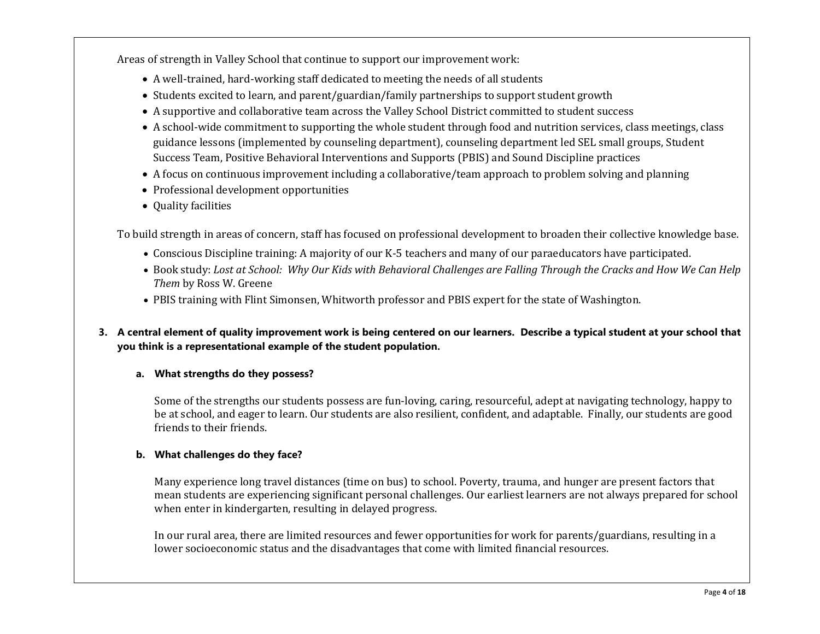Areas of strength in Valley School that continue to support our improvement work:

- A well-trained, hard-working staff dedicated to meeting the needs of all students
- Students excited to learn, and parent/guardian/family partnerships to support student growth
- A supportive and collaborative team across the Valley School District committed to student success
- A school-wide commitment to supporting the whole student through food and nutrition services, class meetings, class guidance lessons (implemented by counseling department), counseling department led SEL small groups, Student Success Team, Positive Behavioral Interventions and Supports (PBIS) and Sound Discipline practices
- A focus on continuous improvement including a collaborative/team approach to problem solving and planning
- Professional development opportunities
- Quality facilities

To build strength in areas of concern, staff has focused on professional development to broaden their collective knowledge base.

- Conscious Discipline training: A majority of our K-5 teachers and many of our paraeducators have participated.
- Book study: *Lost at School: Why Our Kids with Behavioral Challenges are Falling Through the Cracks and How We Can Help Them* by Ross W. Greene
- PBIS training with Flint Simonsen, Whitworth professor and PBIS expert for the state of Washington.

## **3. A central element of quality improvement work is being centered on our learners. Describe a typical student at your school that you think is a representational example of the student population.**

## **a. What strengths do they possess?**

Some of the strengths our students possess are fun-loving, caring, resourceful, adept at navigating technology, happy to be at school, and eager to learn. Our students are also resilient, confident, and adaptable. Finally, our students are good friends to their friends.

## **b. What challenges do they face?**

Many experience long travel distances (time on bus) to school. Poverty, trauma, and hunger are present factors that mean students are experiencing significant personal challenges. Our earliest learners are not always prepared for school when enter in kindergarten, resulting in delayed progress.

In our rural area, there are limited resources and fewer opportunities for work for parents/guardians, resulting in a lower socioeconomic status and the disadvantages that come with limited financial resources.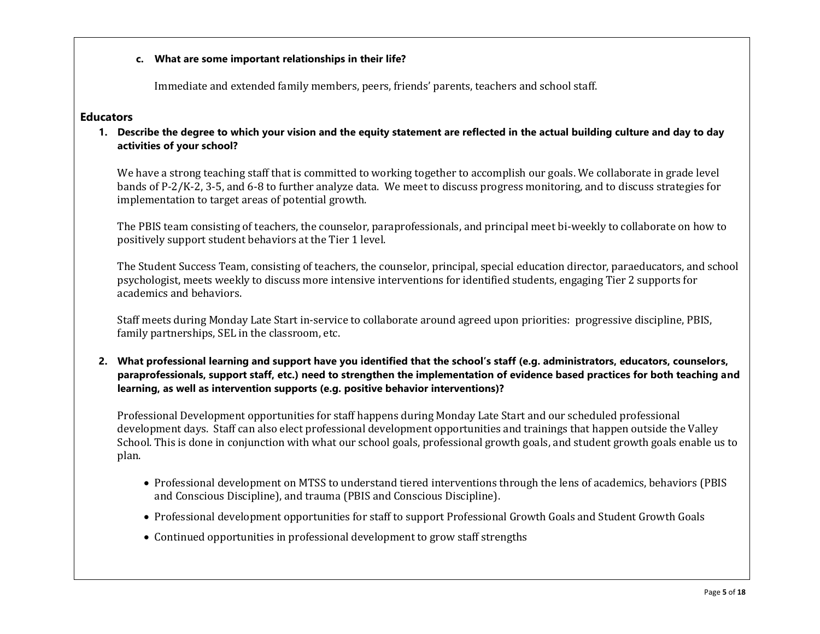### **c. What are some important relationships in their life?**

Immediate and extended family members, peers, friends' parents, teachers and school staff.

### **Educators**

**1. Describe the degree to which your vision and the equity statement are reflected in the actual building culture and day to day activities of your school?**

We have a strong teaching staff that is committed to working together to accomplish our goals. We collaborate in grade level bands of P-2/K-2, 3-5, and 6-8 to further analyze data. We meet to discuss progress monitoring, and to discuss strategies for implementation to target areas of potential growth.

The PBIS team consisting of teachers, the counselor, paraprofessionals, and principal meet bi-weekly to collaborate on how to positively support student behaviors at the Tier 1 level.

The Student Success Team, consisting of teachers, the counselor, principal, special education director, paraeducators, and school psychologist, meets weekly to discuss more intensive interventions for identified students, engaging Tier 2 supports for academics and behaviors.

Staff meets during Monday Late Start in-service to collaborate around agreed upon priorities: progressive discipline, PBIS, family partnerships, SEL in the classroom, etc.

**2. What professional learning and support have you identified that the school's staff (e.g. administrators, educators, counselors, paraprofessionals, support staff, etc.) need to strengthen the implementation of evidence based practices for both teaching and learning, as well as intervention supports (e.g. positive behavior interventions)?** 

Professional Development opportunities for staff happens during Monday Late Start and our scheduled professional development days. Staff can also elect professional development opportunities and trainings that happen outside the Valley School. This is done in conjunction with what our school goals, professional growth goals, and student growth goals enable us to plan.

- Professional development on MTSS to understand tiered interventions through the lens of academics, behaviors (PBIS and Conscious Discipline), and trauma (PBIS and Conscious Discipline).
- Professional development opportunities for staff to support Professional Growth Goals and Student Growth Goals
- Continued opportunities in professional development to grow staff strengths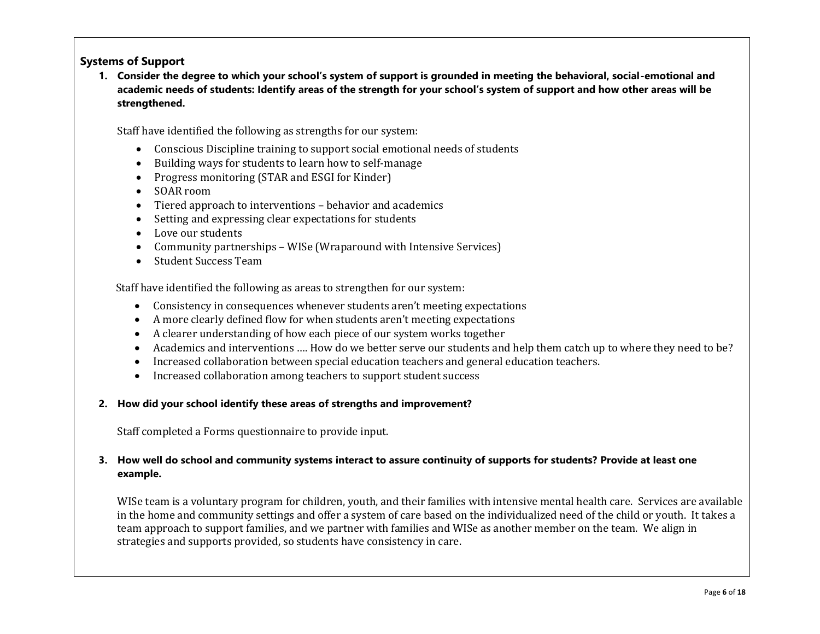## **Systems of Support**

**1. Consider the degree to which your school's system of support is grounded in meeting the behavioral, social-emotional and academic needs of students: Identify areas of the strength for your school's system of support and how other areas will be strengthened.** 

Staff have identified the following as strengths for our system:

- Conscious Discipline training to support social emotional needs of students
- Building ways for students to learn how to self-manage
- Progress monitoring (STAR and ESGI for Kinder)
- SOAR room
- Tiered approach to interventions behavior and academics
- Setting and expressing clear expectations for students
- Love our students
- Community partnerships WISe (Wraparound with Intensive Services)
- Student Success Team

Staff have identified the following as areas to strengthen for our system:

- Consistency in consequences whenever students aren't meeting expectations
- A more clearly defined flow for when students aren't meeting expectations
- A clearer understanding of how each piece of our system works together
- Academics and interventions …. How do we better serve our students and help them catch up to where they need to be?
- Increased collaboration between special education teachers and general education teachers.
- Increased collaboration among teachers to support student success

### **2. How did your school identify these areas of strengths and improvement?**

Staff completed a Forms questionnaire to provide input.

### **3. How well do school and community systems interact to assure continuity of supports for students? Provide at least one example.**

WISe team is a voluntary program for children, youth, and their families with intensive mental health care. Services are available in the home and community settings and offer a system of care based on the individualized need of the child or youth. It takes a team approach to support families, and we partner with families and WISe as another member on the team. We align in strategies and supports provided, so students have consistency in care.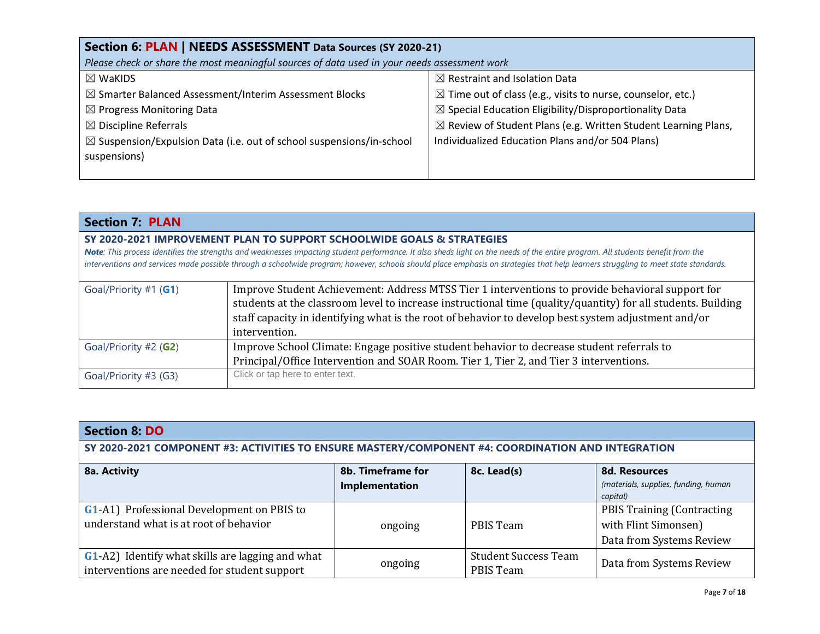| Section 6: PLAN   NEEDS ASSESSMENT Data Sources (SY 2020-21)                                                                                |                                                  |  |  |
|---------------------------------------------------------------------------------------------------------------------------------------------|--------------------------------------------------|--|--|
| Please check or share the most meaningful sources of data used in your needs assessment work                                                |                                                  |  |  |
| $\boxtimes$ Restraint and Isolation Data<br>$\boxtimes$ WaKIDS                                                                              |                                                  |  |  |
| $\boxtimes$ Time out of class (e.g., visits to nurse, counselor, etc.)<br>$\boxtimes$ Smarter Balanced Assessment/Interim Assessment Blocks |                                                  |  |  |
| $\boxtimes$ Special Education Eligibility/Disproportionality Data<br>$\boxtimes$ Progress Monitoring Data                                   |                                                  |  |  |
| $\boxtimes$ Review of Student Plans (e.g. Written Student Learning Plans,<br>$\boxtimes$ Discipline Referrals                               |                                                  |  |  |
| $\boxtimes$ Suspension/Expulsion Data (i.e. out of school suspensions/in-school                                                             | Individualized Education Plans and/or 504 Plans) |  |  |
| suspensions)                                                                                                                                |                                                  |  |  |
|                                                                                                                                             |                                                  |  |  |

| <b>Section 7: PLAN</b>                                                                              |                                                                                                                                                                                    |  |
|-----------------------------------------------------------------------------------------------------|------------------------------------------------------------------------------------------------------------------------------------------------------------------------------------|--|
|                                                                                                     | SY 2020-2021 IMPROVEMENT PLAN TO SUPPORT SCHOOLWIDE GOALS & STRATEGIES                                                                                                             |  |
|                                                                                                     | Note: This process identifies the strengths and weaknesses impacting student performance. It also sheds light on the needs of the entire program. All students benefit from the    |  |
|                                                                                                     | interventions and services made possible through a schoolwide program; however, schools should place emphasis on strategies that help learners struggling to meet state standards. |  |
| Goal/Priority #1 (G1)                                                                               | Improve Student Achievement: Address MTSS Tier 1 interventions to provide behavioral support for                                                                                   |  |
|                                                                                                     |                                                                                                                                                                                    |  |
|                                                                                                     | students at the classroom level to increase instructional time (quality/quantity) for all students. Building                                                                       |  |
| staff capacity in identifying what is the root of behavior to develop best system adjustment and/or |                                                                                                                                                                                    |  |
|                                                                                                     | intervention.                                                                                                                                                                      |  |
| Goal/Priority #2 (G2)                                                                               | Improve School Climate: Engage positive student behavior to decrease student referrals to                                                                                          |  |
|                                                                                                     | Principal/Office Intervention and SOAR Room. Tier 1, Tier 2, and Tier 3 interventions.                                                                                             |  |
| Goal/Priority #3 (G3)                                                                               | Click or tap here to enter text.                                                                                                                                                   |  |

| <b>Section 8: DO</b>                                                                               |                                     |                                                 |                                                                                        |
|----------------------------------------------------------------------------------------------------|-------------------------------------|-------------------------------------------------|----------------------------------------------------------------------------------------|
| SY 2020-2021 COMPONENT #3: ACTIVITIES TO ENSURE MASTERY/COMPONENT #4: COORDINATION AND INTEGRATION |                                     |                                                 |                                                                                        |
| 8a. Activity                                                                                       | 8b. Timeframe for<br>Implementation | 8c. Lead(s)                                     | <b>8d. Resources</b><br>(materials, supplies, funding, human<br>capital)               |
| <b>G1-A1)</b> Professional Development on PBIS to<br>understand what is at root of behavior        | ongoing                             | PBIS Team                                       | <b>PBIS Training (Contracting)</b><br>with Flint Simonsen)<br>Data from Systems Review |
| G1-A2) Identify what skills are lagging and what<br>interventions are needed for student support   | ongoing                             | <b>Student Success Team</b><br><b>PBIS Team</b> | Data from Systems Review                                                               |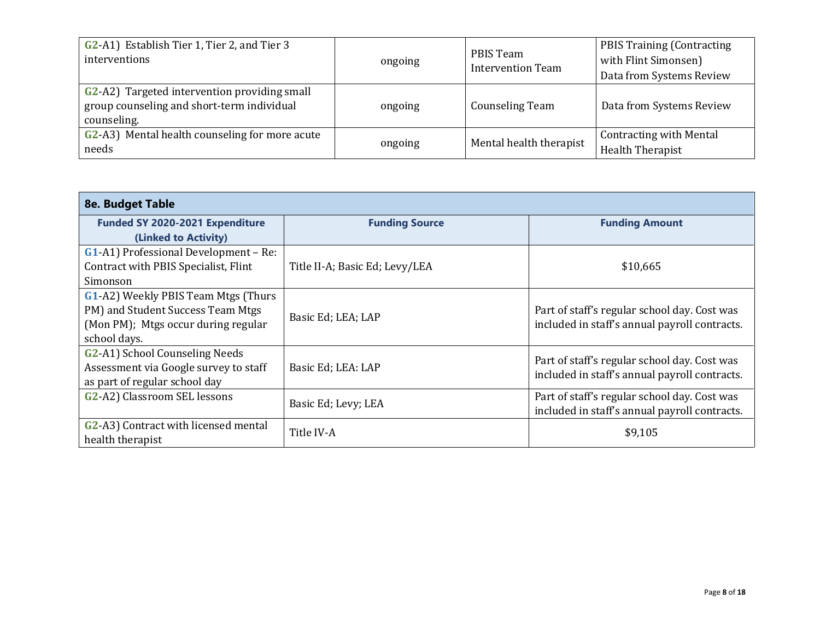| G <sub>2</sub> -A <sub>1</sub> ) Establish Tier 1, Tier 2, and Tier 3<br>interventions                           | ongoing | PBIS Team<br><b>Intervention Team</b> | <b>PBIS Training (Contracting)</b><br>with Flint Simonsen)<br>Data from Systems Review |
|------------------------------------------------------------------------------------------------------------------|---------|---------------------------------------|----------------------------------------------------------------------------------------|
| <b>G2-A2)</b> Targeted intervention providing small<br>group counseling and short-term individual<br>counseling. | ongoing | <b>Counseling Team</b>                | Data from Systems Review                                                               |
| G2-A3) Mental health counseling for more acute<br>needs                                                          | ongoing | Mental health therapist               | <b>Contracting with Mental</b><br><b>Health Therapist</b>                              |

| 8e. Budget Table                                         |                                |                                                                                               |  |
|----------------------------------------------------------|--------------------------------|-----------------------------------------------------------------------------------------------|--|
| Funded SY 2020-2021 Expenditure                          | <b>Funding Source</b>          | <b>Funding Amount</b>                                                                         |  |
| (Linked to Activity)                                     |                                |                                                                                               |  |
| <b>G1-A1)</b> Professional Development – Re:             |                                |                                                                                               |  |
| Contract with PBIS Specialist, Flint                     | Title II-A; Basic Ed; Levy/LEA | \$10,665                                                                                      |  |
| Simonson                                                 |                                |                                                                                               |  |
| G1-A2) Weekly PBIS Team Mtgs (Thurs                      |                                |                                                                                               |  |
| PM) and Student Success Team Mtgs                        | Basic Ed; LEA; LAP             | Part of staff's regular school day. Cost was<br>included in staff's annual payroll contracts. |  |
| (Mon PM); Mtgs occur during regular                      |                                |                                                                                               |  |
| school days.                                             |                                |                                                                                               |  |
| G <sub>2</sub> -A <sub>1</sub> ) School Counseling Needs |                                | Part of staff's regular school day. Cost was                                                  |  |
| Assessment via Google survey to staff                    | Basic Ed; LEA: LAP             | included in staff's annual payroll contracts.                                                 |  |
| as part of regular school day                            |                                |                                                                                               |  |
| G <sub>2</sub> -A <sub>2</sub> ) Classroom SEL lessons   | Basic Ed; Levy; LEA            | Part of staff's regular school day. Cost was                                                  |  |
|                                                          |                                | included in staff's annual payroll contracts.                                                 |  |
| G2-A3) Contract with licensed mental                     | Title IV-A                     | \$9,105                                                                                       |  |
| health therapist                                         |                                |                                                                                               |  |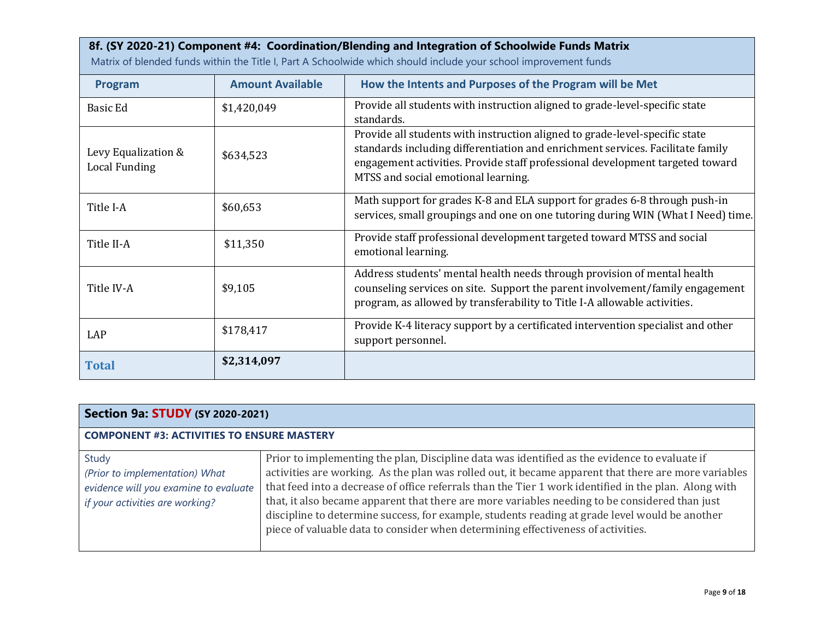# **8f. (SY 2020-21) Component #4: Coordination/Blending and Integration of Schoolwide Funds Matrix**

Matrix of blended funds within the Title I, Part A Schoolwide which should include your school improvement funds

| Program                              | <b>Amount Available</b> | How the Intents and Purposes of the Program will be Met                                                                                                                                                                                                                               |
|--------------------------------------|-------------------------|---------------------------------------------------------------------------------------------------------------------------------------------------------------------------------------------------------------------------------------------------------------------------------------|
| Basic Ed                             | \$1,420,049             | Provide all students with instruction aligned to grade-level-specific state<br>standards.                                                                                                                                                                                             |
| Levy Equalization &<br>Local Funding | \$634,523               | Provide all students with instruction aligned to grade-level-specific state<br>standards including differentiation and enrichment services. Facilitate family<br>engagement activities. Provide staff professional development targeted toward<br>MTSS and social emotional learning. |
| Title I-A                            | \$60,653                | Math support for grades K-8 and ELA support for grades 6-8 through push-in<br>services, small groupings and one on one tutoring during WIN (What I Need) time.                                                                                                                        |
| Title II-A                           | \$11,350                | Provide staff professional development targeted toward MTSS and social<br>emotional learning.                                                                                                                                                                                         |
| Title IV-A                           | \$9,105                 | Address students' mental health needs through provision of mental health<br>counseling services on site. Support the parent involvement/family engagement<br>program, as allowed by transferability to Title I-A allowable activities.                                                |
| LAP                                  | \$178,417               | Provide K-4 literacy support by a certificated intervention specialist and other<br>support personnel.                                                                                                                                                                                |
| <b>Total</b>                         | \$2,314,097             |                                                                                                                                                                                                                                                                                       |

| <b>Section 9a: STUDY (SY 2020-2021)</b>                                                                             |                                                                                                                                                                                                                                                                                                                                                                                                                                                                                                                                                                                                        |  |  |
|---------------------------------------------------------------------------------------------------------------------|--------------------------------------------------------------------------------------------------------------------------------------------------------------------------------------------------------------------------------------------------------------------------------------------------------------------------------------------------------------------------------------------------------------------------------------------------------------------------------------------------------------------------------------------------------------------------------------------------------|--|--|
| <b>COMPONENT #3: ACTIVITIES TO ENSURE MASTERY</b>                                                                   |                                                                                                                                                                                                                                                                                                                                                                                                                                                                                                                                                                                                        |  |  |
| Study<br>(Prior to implementation) What<br>evidence will you examine to evaluate<br>if your activities are working? | Prior to implementing the plan, Discipline data was identified as the evidence to evaluate if<br>activities are working. As the plan was rolled out, it became apparent that there are more variables<br>that feed into a decrease of office referrals than the Tier 1 work identified in the plan. Along with<br>that, it also became apparent that there are more variables needing to be considered than just<br>discipline to determine success, for example, students reading at grade level would be another<br>piece of valuable data to consider when determining effectiveness of activities. |  |  |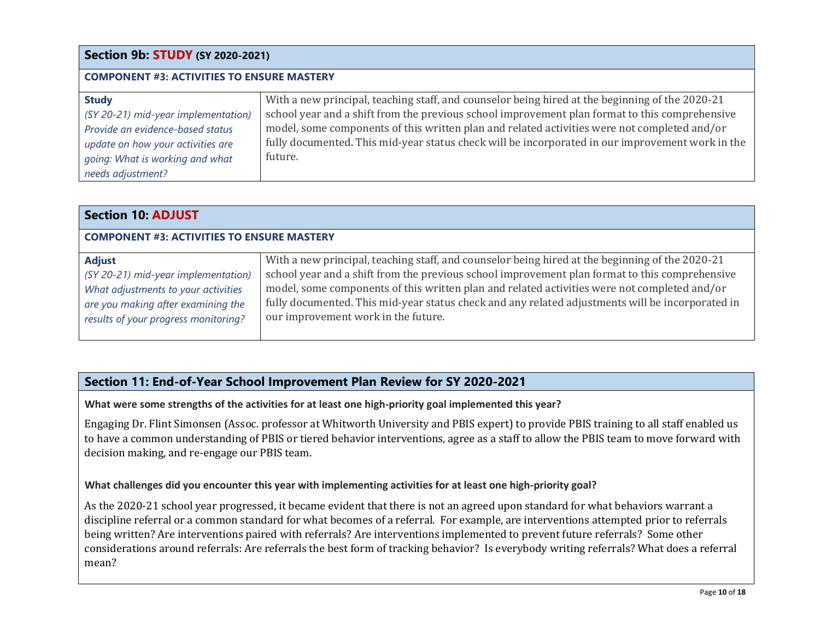#### **Section 9b: STUDY (SY 2020-2021) COMPONENT #3: ACTIVITIES TO ENSURE MASTERY Study** *(SY 20-21) mid-year implementation) Provide an evidence-based status update on how your activities are going: What is working and what needs adjustment?* With a new principal, teaching staff, and counselor being hired at the beginning of the 2020-21 school year and a shift from the previous school improvement plan format to this comprehensive model, some components of this written plan and related activities were not completed and/or fully documented. This mid-year status check will be incorporated in our improvement work in the future.

| <b>Section 10: ADJUST</b>                                                                                                                                                 |                                                                                                                                                                                                                                                                                                                                                                                                                                              |  |  |
|---------------------------------------------------------------------------------------------------------------------------------------------------------------------------|----------------------------------------------------------------------------------------------------------------------------------------------------------------------------------------------------------------------------------------------------------------------------------------------------------------------------------------------------------------------------------------------------------------------------------------------|--|--|
| <b>COMPONENT #3: ACTIVITIES TO ENSURE MASTERY</b>                                                                                                                         |                                                                                                                                                                                                                                                                                                                                                                                                                                              |  |  |
| <b>Adjust</b><br>(SY 20-21) mid-year implementation)<br>What adjustments to your activities<br>are you making after examining the<br>results of your progress monitoring? | With a new principal, teaching staff, and counselor being hired at the beginning of the 2020-21<br>school year and a shift from the previous school improvement plan format to this comprehensive<br>model, some components of this written plan and related activities were not completed and/or<br>fully documented. This mid-year status check and any related adjustments will be incorporated in<br>our improvement work in the future. |  |  |

# **Section 11: End-of-Year School Improvement Plan Review for SY 2020-2021**

**What were some strengths of the activities for at least one high-priority goal implemented this year?**

Engaging Dr. Flint Simonsen (Assoc. professor at Whitworth University and PBIS expert) to provide PBIS training to all staff enabled us to have a common understanding of PBIS or tiered behavior interventions, agree as a staff to allow the PBIS team to move forward with decision making, and re-engage our PBIS team.

## **What challenges did you encounter this year with implementing activities for at least one high-priority goal?**

As the 2020-21 school year progressed, it became evident that there is not an agreed upon standard for what behaviors warrant a discipline referral or a common standard for what becomes of a referral. For example, are interventions attempted prior to referrals being written? Are interventions paired with referrals? Are interventions implemented to prevent future referrals? Some other considerations around referrals: Are referrals the best form of tracking behavior? Is everybody writing referrals? What does a referral mean?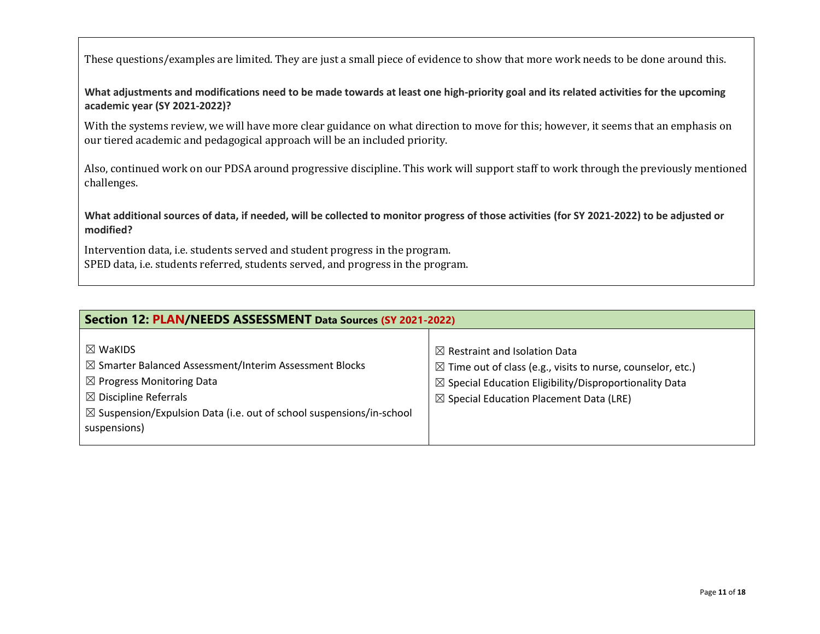These questions/examples are limited. They are just a small piece of evidence to show that more work needs to be done around this.

**What adjustments and modifications need to be made towards at least one high-priority goal and its related activities for the upcoming academic year (SY 2021-2022)?**

With the systems review, we will have more clear guidance on what direction to move for this; however, it seems that an emphasis on our tiered academic and pedagogical approach will be an included priority.

Also, continued work on our PDSA around progressive discipline. This work will support staff to work through the previously mentioned challenges.

**What additional sources of data, if needed, will be collected to monitor progress of those activities (for SY 2021-2022) to be adjusted or modified?**

Intervention data, i.e. students served and student progress in the program. SPED data, i.e. students referred, students served, and progress in the program.

| Section 12: PLAN/NEEDS ASSESSMENT Data Sources (SY 2021-2022)                                                                                                                                                                                                          |                                                                                                                                                                                                                                               |  |  |
|------------------------------------------------------------------------------------------------------------------------------------------------------------------------------------------------------------------------------------------------------------------------|-----------------------------------------------------------------------------------------------------------------------------------------------------------------------------------------------------------------------------------------------|--|--|
| $\boxtimes$ WaKIDS<br>$\boxtimes$ Smarter Balanced Assessment/Interim Assessment Blocks<br>$\boxtimes$ Progress Monitoring Data<br>$\boxtimes$ Discipline Referrals<br>$\boxtimes$ Suspension/Expulsion Data (i.e. out of school suspensions/in-school<br>suspensions) | $\boxtimes$ Restraint and Isolation Data<br>$\boxtimes$ Time out of class (e.g., visits to nurse, counselor, etc.)<br>$\boxtimes$ Special Education Eligibility/Disproportionality Data<br>$\boxtimes$ Special Education Placement Data (LRE) |  |  |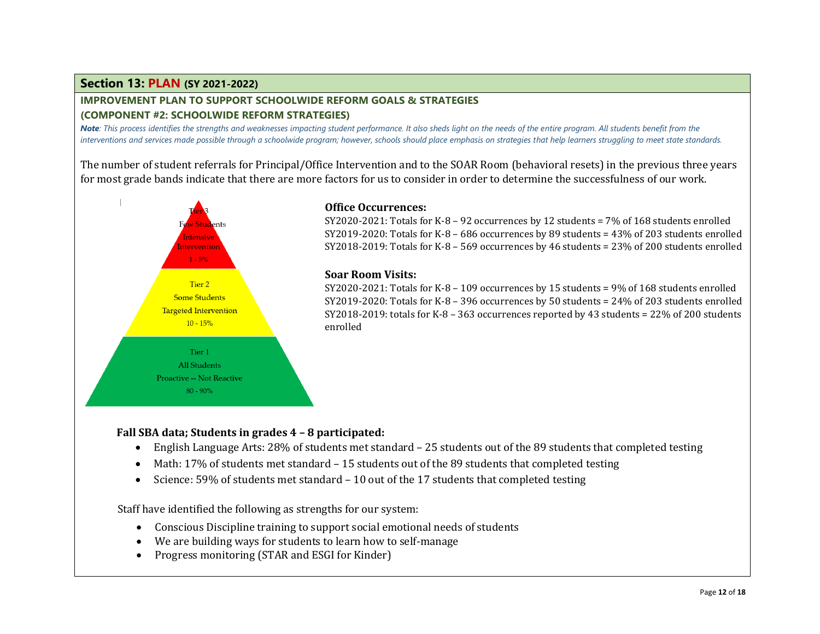## **Section 13: PLAN (SY 2021-2022)**

# **IMPROVEMENT PLAN TO SUPPORT SCHOOLWIDE REFORM GOALS & STRATEGIES**

## **(COMPONENT #2: SCHOOLWIDE REFORM STRATEGIES)**

*Note: This process identifies the strengths and weaknesses impacting student performance. It also sheds light on the needs of the entire program. All students benefit from the interventions and services made possible through a schoolwide program; however, schools should place emphasis on strategies that help learners struggling to meet state standards.*

The number of student referrals for Principal/Office Intervention and to the SOAR Room (behavioral resets) in the previous three years for most grade bands indicate that there are more factors for us to consider in order to determine the successfulness of our work.



## **Office Occurrences:**

SY2020-2021: Totals for K-8 – 92 occurrences by 12 students = 7% of 168 students enrolled SY2019-2020: Totals for K-8 – 686 occurrences by 89 students =  $43\%$  of 203 students enrolled SY2018-2019: Totals for K-8 – 569 occurrences by 46 students = 23% of 200 students enrolled

### **Soar Room Visits:**

SY2020-2021: Totals for K-8 – 109 occurrences by 15 students =  $9\%$  of 168 students enrolled SY2019-2020: Totals for K-8 – 396 occurrences by 50 students = 24% of 203 students enrolled SY2018-2019: totals for K-8 – 363 occurrences reported by 43 students = 22% of 200 students enrolled

## **Fall SBA data; Students in grades 4 – 8 participated:**

- English Language Arts: 28% of students met standard 25 students out of the 89 students that completed testing
- Math: 17% of students met standard 15 students out of the 89 students that completed testing
- Science: 59% of students met standard 10 out of the 17 students that completed testing

Staff have identified the following as strengths for our system:

- Conscious Discipline training to support social emotional needs of students
- We are building ways for students to learn how to self-manage
- Progress monitoring (STAR and ESGI for Kinder)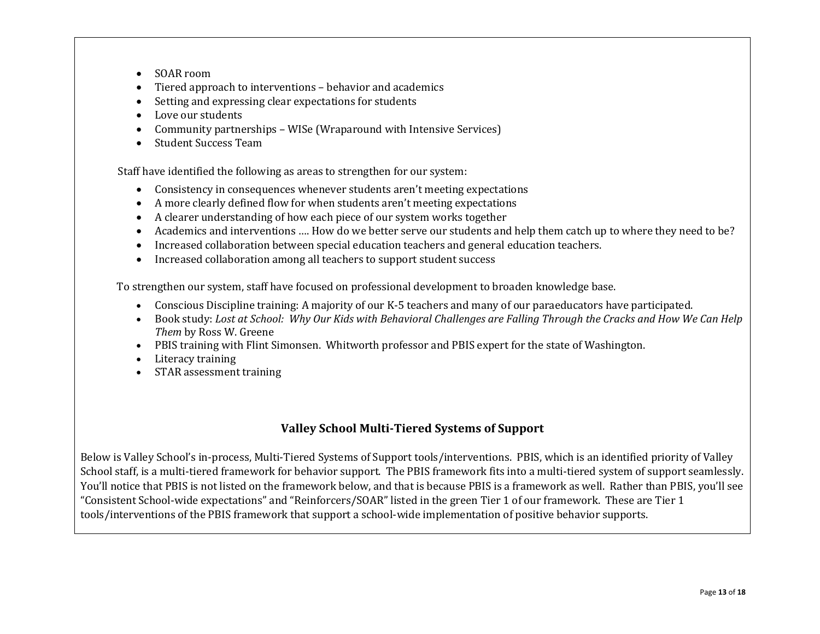- SOAR room
- Tiered approach to interventions behavior and academics
- Setting and expressing clear expectations for students
- Love our students
- Community partnerships WISe (Wraparound with Intensive Services)
- Student Success Team

Staff have identified the following as areas to strengthen for our system:

- Consistency in consequences whenever students aren't meeting expectations
- A more clearly defined flow for when students aren't meeting expectations
- A clearer understanding of how each piece of our system works together
- Academics and interventions …. How do we better serve our students and help them catch up to where they need to be?
- Increased collaboration between special education teachers and general education teachers.
- Increased collaboration among all teachers to support student success

To strengthen our system, staff have focused on professional development to broaden knowledge base.

- Conscious Discipline training: A majority of our K-5 teachers and many of our paraeducators have participated.
- Book study: *Lost at School: Why Our Kids with Behavioral Challenges are Falling Through the Cracks and How We Can Help Them* by Ross W. Greene
- PBIS training with Flint Simonsen. Whitworth professor and PBIS expert for the state of Washington.
- Literacy training
- STAR assessment training

## **Valley School Multi-Tiered Systems of Support**

Below is Valley School's in-process, Multi-Tiered Systems of Support tools/interventions. PBIS, which is an identified priority of Valley School staff, is a multi-tiered framework for behavior support. The PBIS framework fits into a multi-tiered system of support seamlessly. You'll notice that PBIS is not listed on the framework below, and that is because PBIS is a framework as well. Rather than PBIS, you'll see "Consistent School-wide expectations" and "Reinforcers/SOAR" listed in the green Tier 1 of our framework. These are Tier 1 tools/interventions of the PBIS framework that support a school-wide implementation of positive behavior supports.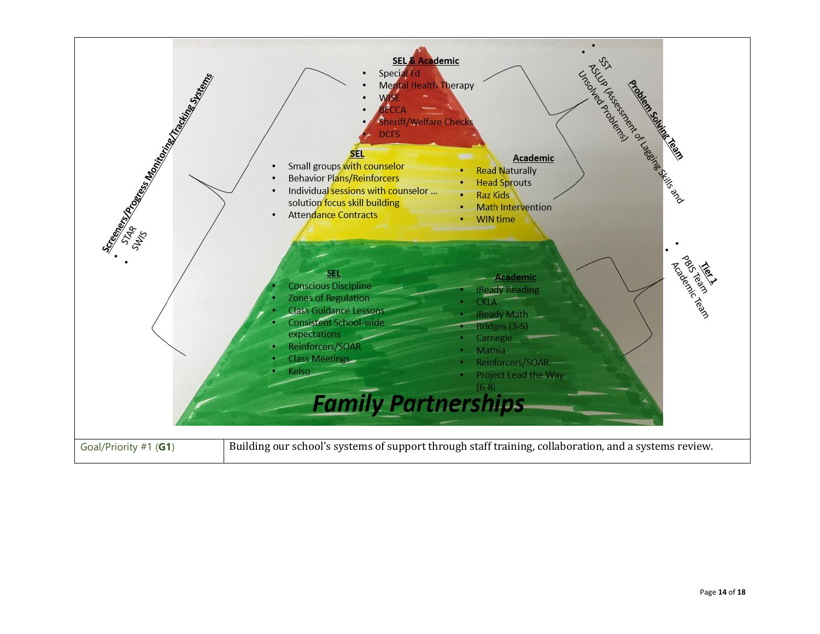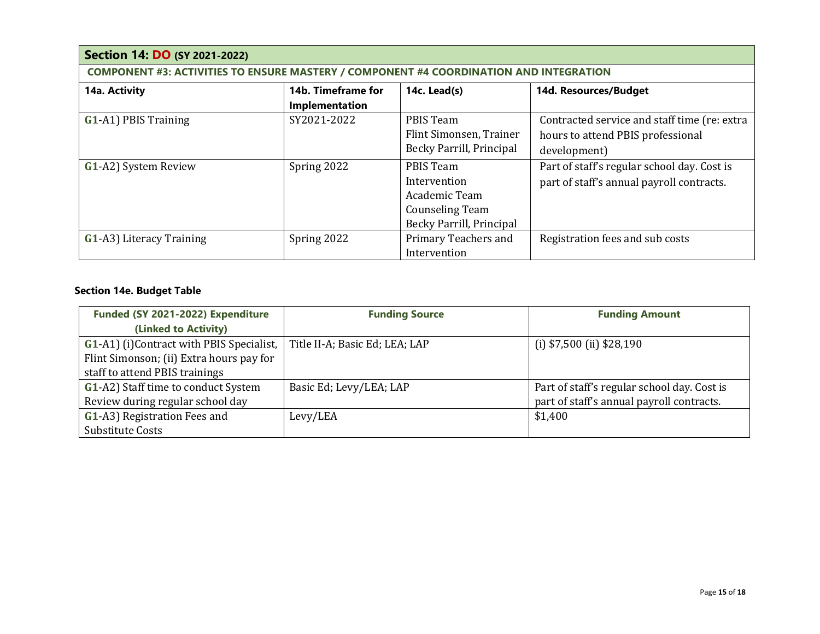| <b>Section 14: DO (SY 2021-2022)</b>                                                          |                                    |                          |                                              |  |  |
|-----------------------------------------------------------------------------------------------|------------------------------------|--------------------------|----------------------------------------------|--|--|
| <b>COMPONENT #3: ACTIVITIES TO ENSURE MASTERY / COMPONENT #4 COORDINATION AND INTEGRATION</b> |                                    |                          |                                              |  |  |
| 14a. Activity                                                                                 | 14b. Timeframe for<br>14c. Lead(s) |                          | 14d. Resources/Budget                        |  |  |
|                                                                                               | Implementation                     |                          |                                              |  |  |
| <b>G1-A1) PBIS Training</b>                                                                   | SY2021-2022                        | PBIS Team                | Contracted service and staff time (re: extra |  |  |
|                                                                                               |                                    | Flint Simonsen, Trainer  | hours to attend PBIS professional            |  |  |
|                                                                                               |                                    | Becky Parrill, Principal | development)                                 |  |  |
| G1-A2) System Review                                                                          | Spring 2022                        | PBIS Team                | Part of staff's regular school day. Cost is  |  |  |
|                                                                                               |                                    | Intervention             | part of staff's annual payroll contracts.    |  |  |
|                                                                                               |                                    | Academic Team            |                                              |  |  |
|                                                                                               |                                    | <b>Counseling Team</b>   |                                              |  |  |
|                                                                                               |                                    | Becky Parrill, Principal |                                              |  |  |
| <b>G1-A3)</b> Literacy Training                                                               | Spring 2022                        | Primary Teachers and     | Registration fees and sub costs              |  |  |
|                                                                                               |                                    | Intervention             |                                              |  |  |

## **Section 14e. Budget Table**

| Funded (SY 2021-2022) Expenditure         | <b>Funding Source</b>          | <b>Funding Amount</b>                       |
|-------------------------------------------|--------------------------------|---------------------------------------------|
| (Linked to Activity)                      |                                |                                             |
| G1-A1) (i) Contract with PBIS Specialist, | Title II-A; Basic Ed; LEA; LAP | (i) $$7,500$ (ii) $$28,190$                 |
| Flint Simonson; (ii) Extra hours pay for  |                                |                                             |
| staff to attend PBIS trainings            |                                |                                             |
| G1-A2) Staff time to conduct System       | Basic Ed; Levy/LEA; LAP        | Part of staff's regular school day. Cost is |
| Review during regular school day          |                                | part of staff's annual payroll contracts.   |
| G1-A3) Registration Fees and              | Levy/LEA                       | \$1,400                                     |
| Substitute Costs                          |                                |                                             |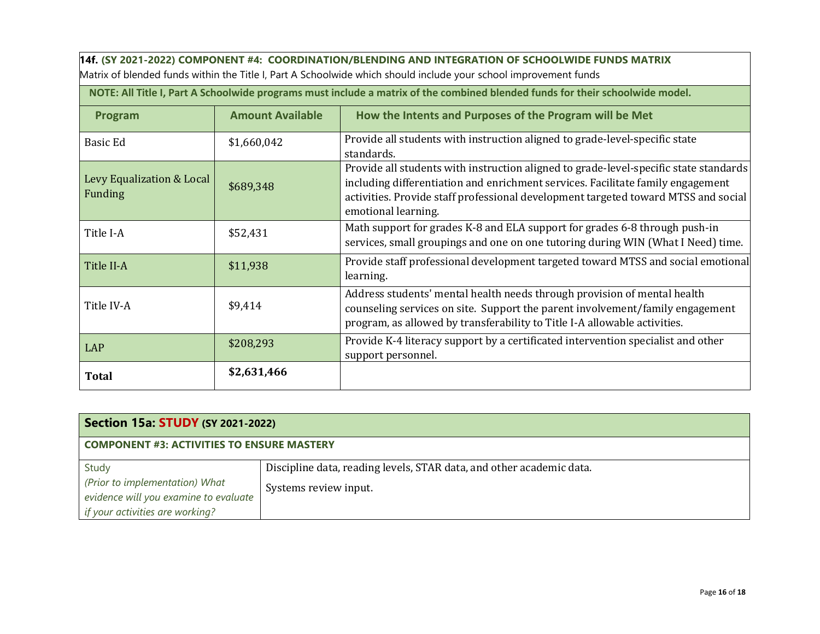**14f. (SY 2021-2022) COMPONENT #4: COORDINATION/BLENDING AND INTEGRATION OF SCHOOLWIDE FUNDS MATRIX** Matrix of blended funds within the Title I, Part A Schoolwide which should include your school improvement funds

**NOTE: All Title I, Part A Schoolwide programs must include a matrix of the combined blended funds for their schoolwide model.**

| Program                              | <b>Amount Available</b> | How the Intents and Purposes of the Program will be Met                                                                                                                                                                                                                               |
|--------------------------------------|-------------------------|---------------------------------------------------------------------------------------------------------------------------------------------------------------------------------------------------------------------------------------------------------------------------------------|
| <b>Basic Ed</b>                      | \$1,660,042             | Provide all students with instruction aligned to grade-level-specific state<br>standards.                                                                                                                                                                                             |
| Levy Equalization & Local<br>Funding | \$689,348               | Provide all students with instruction aligned to grade-level-specific state standards<br>including differentiation and enrichment services. Facilitate family engagement<br>activities. Provide staff professional development targeted toward MTSS and social<br>emotional learning. |
| Title I-A                            | \$52,431                | Math support for grades K-8 and ELA support for grades 6-8 through push-in<br>services, small groupings and one on one tutoring during WIN (What I Need) time.                                                                                                                        |
| Title II-A                           | \$11,938                | Provide staff professional development targeted toward MTSS and social emotional<br>learning.                                                                                                                                                                                         |
| Title IV-A                           | \$9,414                 | Address students' mental health needs through provision of mental health<br>counseling services on site. Support the parent involvement/family engagement<br>program, as allowed by transferability to Title I-A allowable activities.                                                |
| <b>LAP</b>                           | \$208,293               | Provide K-4 literacy support by a certificated intervention specialist and other<br>support personnel.                                                                                                                                                                                |
| <b>Total</b>                         | \$2,631,466             |                                                                                                                                                                                                                                                                                       |

| <b>Section 15a: STUDY (SY 2021-2022)</b>          |                                                                      |  |
|---------------------------------------------------|----------------------------------------------------------------------|--|
| <b>COMPONENT #3: ACTIVITIES TO ENSURE MASTERY</b> |                                                                      |  |
| Study                                             | Discipline data, reading levels, STAR data, and other academic data. |  |
| (Prior to implementation) What                    | Systems review input.                                                |  |
| evidence will you examine to evaluate             |                                                                      |  |
| if your activities are working?                   |                                                                      |  |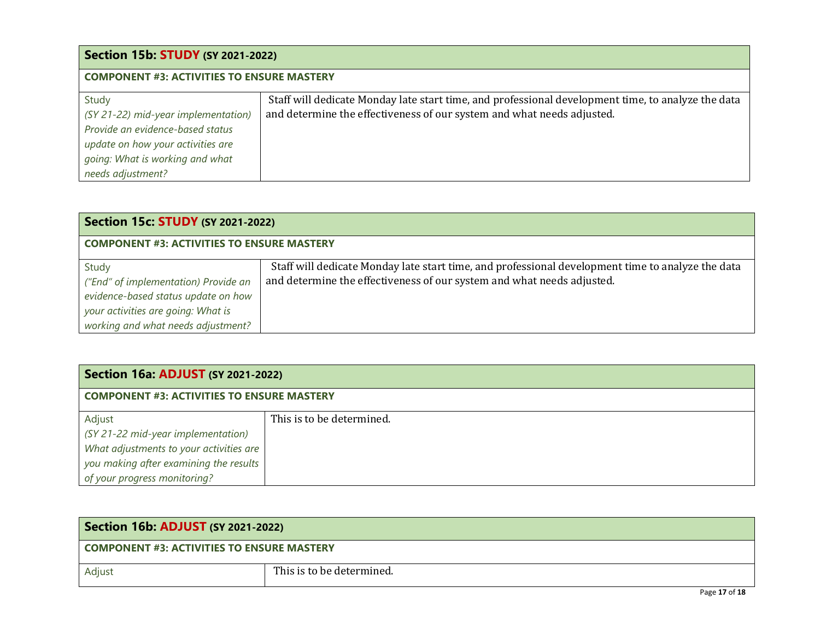| <b>Section 15b: STUDY (SY 2021-2022)</b>                                                                                                                                      |                                                                                                                                                                              |  |
|-------------------------------------------------------------------------------------------------------------------------------------------------------------------------------|------------------------------------------------------------------------------------------------------------------------------------------------------------------------------|--|
| <b>COMPONENT #3: ACTIVITIES TO ENSURE MASTERY</b>                                                                                                                             |                                                                                                                                                                              |  |
| Study<br>(SY 21-22) mid-year implementation)<br>Provide an evidence-based status<br>update on how your activities are<br>going: What is working and what<br>needs adjustment? | Staff will dedicate Monday late start time, and professional development time, to analyze the data<br>and determine the effectiveness of our system and what needs adjusted. |  |

| <b>Section 15c: STUDY (SY 2021-2022)</b>                                                                                   |                                                                                                                                                                             |  |
|----------------------------------------------------------------------------------------------------------------------------|-----------------------------------------------------------------------------------------------------------------------------------------------------------------------------|--|
| <b>COMPONENT #3: ACTIVITIES TO ENSURE MASTERY</b>                                                                          |                                                                                                                                                                             |  |
| Study<br>("End" of implementation) Provide an<br>evidence-based status update on how<br>your activities are going: What is | Staff will dedicate Monday late start time, and professional development time to analyze the data<br>and determine the effectiveness of our system and what needs adjusted. |  |
| working and what needs adjustment?                                                                                         |                                                                                                                                                                             |  |

# **Section 16a: ADJUST (SY 2021-2022)**

## **COMPONENT #3: ACTIVITIES TO ENSURE MASTERY**

| Adjust                                  | This is to be determined. |
|-----------------------------------------|---------------------------|
| (SY 21-22 mid-year implementation)      |                           |
| What adjustments to your activities are |                           |
| you making after examining the results  |                           |
| of your progress monitoring?            |                           |

| <b>Section 16b: ADJUST (SY 2021-2022)</b>  |                           |                           |
|--------------------------------------------|---------------------------|---------------------------|
| COMPONENT #3: ACTIVITIES TO ENSURE MASTERY |                           |                           |
| Adjust                                     | This is to be determined. |                           |
|                                            |                           | $P_1, P_2, P_3, P_4, P_5$ |